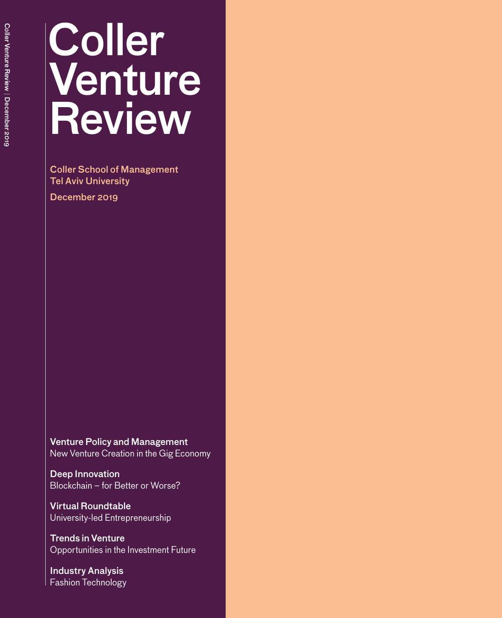# Coller Venture Review Coller Venture Review | December 2019 December 2019

# **Coller** Venture **Review**

Coller School of Management Tel Aviv University

December 2019

Venture Policy and Management New Venture Creation in the Gig Economy

Deep Innovation Blockchain – for Better or Worse?

Virtual Roundtable University-led Entrepreneurship

Trends in Venture Opportunities in the Investment Future

Industry Analysis Fashion Technology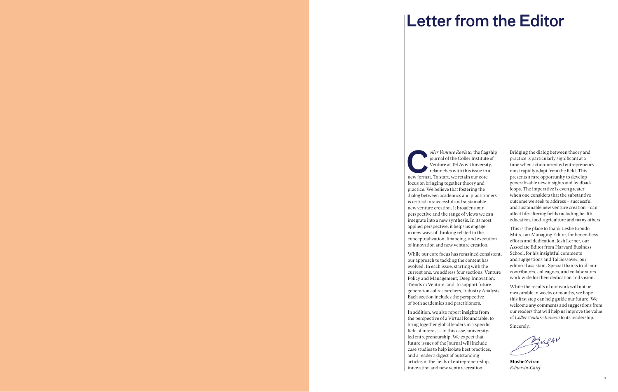# Letter from the Editor

Foller *Venture Review*, the flagship<br>journal of the Coller Institute of<br>Venture at Tel Aviv University,<br>relaunches with this issue in a<br>new format. To start, we retain our core journal of the Coller Institute of Venture at Tel Aviv University, relaunches with this issue in a new format. To start, we retain our core focus on bringing together theory and practice. We believe that fostering the dialog between academics and practitioners is critical to successful and sustainable new venture creation. It broadens our perspective and the range of views we can integrate into a new synthesis. In its most applied perspective, it helps us engage in new ways of thinking related to the conceptualization, financing, and execution of innovation and new venture creation.

While our core focus has remained consistent, our approach to tackling the content has evolved. In each issue, starting with the current one, we address four sections: Venture Policy and Management; Deep Innovation; Trends in Venture; and, to support future generations of researchers, Industry Analysis. Each section includes the perspective of both academics and practitioners.

In addition, we also report insights from the perspective of a Virtual Roundtable, to bring together global leaders in a specific field of interest – in this case, universityled entrepreneurship. We expect that future issues of the Journal will include case studies to help isolate best practices, and a reader's digest of outstanding articles in the fields of entrepreneurship, innovation and new venture creation.

Bridging the dialog between theory and practice is particularly significant at a time when action-oriented entrepreneurs must rapidly adapt from the field. This presents a rare opportunity to develop generalizable new insights and feedback loops. The imperative is even greater when one considers that the substantive outcome we seek to address – successful and sustainable new venture creation – can affect life-altering fields including health, education, food, agriculture and many others.

This is the place to thank Leslie Broudo Mitts, our Managing Editor, for her endless efforts and dedication, Josh Lerner, our Associate Editor from Harvard Business School, for his insightful comments and suggestions and Tal Sossover, our editorial assistant. Special thanks to all our contributors, colleagues, and collaborators worldwide for their dedication and vision.

While the results of our work will not be measurable in weeks or months, we hope this first step can help guide our future. We welcome any comments and suggestions from our readers that will help us improve the value of *Coller Venture Review* to its readership.

Sincerely,

Brigan

Moshe Zviran *Editor-in-Chief*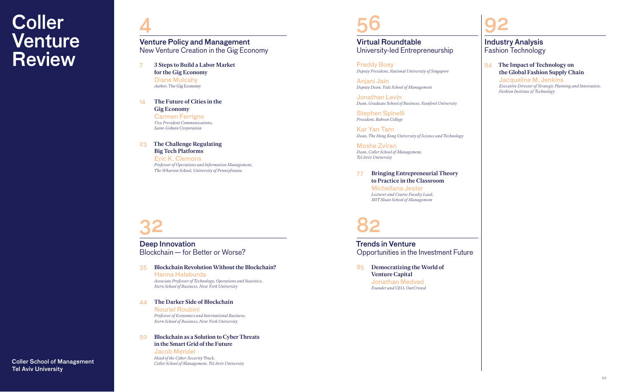4

# Coller **Venture** Review <sup>New Venture</sup> Creation in the Crig<br> **Review** 7 3 Steps to Build a Labor Market

32

- for the Gig Economy Diane Mulcahy *Author,* The Gig Economy
- 14 The Future of Cities in the Gig Economy

Carmen Ferrigno *Vice President Communications, Saint-Gobain Corporation*

# 23 The Challenge Regulating Big Tech Platforms

Eric K. Clemons *Professor of Operations and Information Management, The Wharton School, University of Pennsylvania*

## 35 Blockchain Revolution Without the Blockchain? Hanna Halaburda

*Associate Professor of Technology, Operations and Statistics, Stern School of Business, New York University*

# 44 The Darker Side of Blockchain

Nouriel Roubini *Professor of Economics and International Business, Stern School of Business, New York University*

# 50 Blockchain as a Solution to Cyber Threats in the Smart Grid of the Future

Jacob Mendel *Head of the Cyber-Security Track, Coller School of Management, Tel Aviv University*

Venture Policy and Management New Venture Creation in the Gig Economy

Deep Innovation Blockchain — for Better or Worse?

Coller School of Management Tel Aviv University



# 56 92

82

# 77 Bringing Entrepreneurial Theory to Practice in the Classroom

Michellana Jester *Lecturer and Course Faculty Lead, MIT Sloan School of Management*

# 94 The Impact of Technology on the Global Fashion Supply Chain

Jacqueline M. Jenkins *Executive Director of Strategic Planning and Innovation, Fashion Institute of Technology*

Freddy Boey *Deputy President, National University of Singapore*

Anjani Jain *Deputy Dean, Yale School of Management* 

Jonathan Levin *Dean, Graduate School of Business, Stanford University*

Stephen Spinelli *President, Babson College*

Kar Yan Tam *Dean, The Hong Kong University of Science and Technology*

Moshe Zviran *Dean, Coller School of Management, Tel Aviv University* 

85 Democratizing the World of Venture Capital Jonathan Medved *Founder and CEO, OurCrowd*

# Industry Analysis Fashion Technology

# Virtual Roundtable University-led Entrepreneurship

# Trends in Venture Opportunities in the Investment Future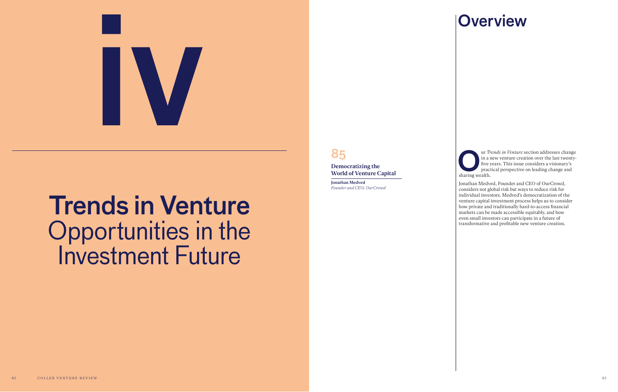# Trends in Venture Opportunities in the Investment Future



Trends in Venture section addresses change<br>in a new venture creation over the last twenty-<br>five years. This issue considers a visionary's<br>practical perspective on leading change and<br>sharing wealth. in a new venture creation over the last twenty-

five years. This issue considers a visionary's practical perspective on leading change and sharing wealth. Jonathan Medved, Founder and CEO of OurCrowd, considers not global risk but ways to reduce risk for individual investors. Medved's democratization of the venture capital investment process helps us to consider how private and traditionally hard-to-access financial markets can be made accessible equitably, and how even small investors can participate in a future of transformative and profitable new venture creation.

# **Overview**

# 85

Democratizing the World of Venture Capital

Jonathan Medved *Founder and CEO, OurCrowd*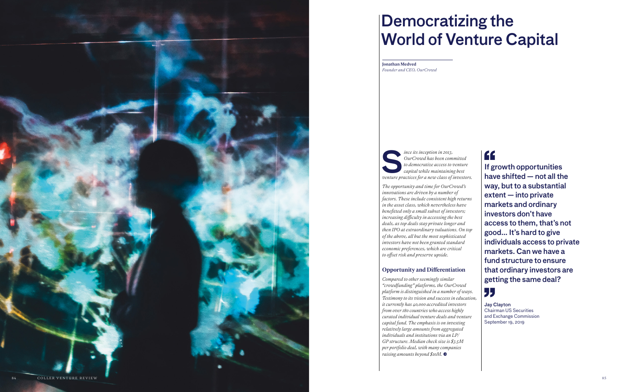*OurCrowd has been committed to democratize access to venture capital while maintaining best venture practices for a new class of investors.*

*The opportunity and time for OurCrowd's innovations are driven by a number of factors. These include consistent high returns in the asset class, which nevertheless have benefitted only a small subset of investors; increasing difficulty in accessing the best deals, as top deals stay private longer and then IPO at extraordinary valuations. On top of the above, all but the most sophisticated investors have not been granted standard economic preferences, which are critical to offset risk and preserve upside.*

# Opportunity and Differentiation

*Compared to other seemingly similar "crowdfunding" platforms, the OurCrowd platform is distinguished in a number of ways. Testimony to its vision and success in education, it currently has 40,000 accredited investors from over 180 countries who access highly curated individual venture deals and venture capital fund. The emphasis is on investing relatively large amounts from aggregated individuals and institutions via an LP/ GP structure. Median check size is \$3.5M per portfolio deal, with many companies raising amounts beyond \$10M.* •

If growth opportunities have shifted — not all the way, but to a substantial extent — into private markets and ordinary investors don't have access to them, that's not good… It's hard to give individuals access to private markets. Can we have a fund structure to ensure that ordinary investors are getting the same deal?

"

Jay Clayton Chairman US Securities and Exchange Commission September 19, 2019

Jonathan Medved *Founder and CEO, OurCrowd*



# Democratizing the **World of Venture Capital**<br>
Founder and CEO, OurCrowd<br>
Founder and CEO, OurCrowd<br> **S** *CourCrowd has been committed*<br>
to *democratize access to venture*<br> **S** *CourCrowd has been committed*<br> **of** *Simple intermating best*<br>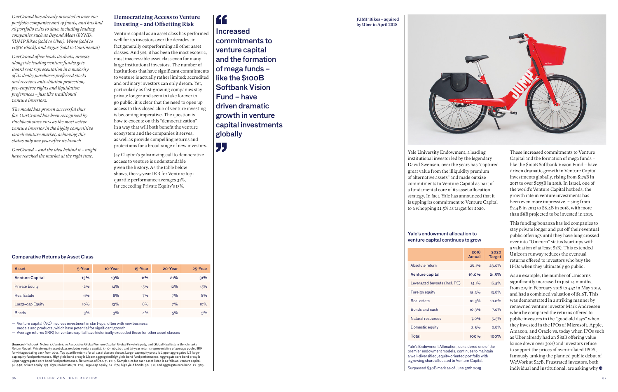*OurCrowd has already invested in over 200 portfolio companies and 19 funds, and has had 36 portfolio exits to date, including leading companies such as Beyond Meat (BYND), JUMP Bikes (sold to Uber), Wave (sold to H&R Block), and Argus (sold to Continental).* 

*OurCrowd often leads its deals; invests alongside leading venture funds; gets Board seat representation in a majority of its deals; purchases preferred stock; and receives anti-dilution protection, pre-emptive rights and liquidation preferences – just like traditional venture investors.* 

*The model has proven successful thus far. OurCrowd has been recognized by Pitchbook since 2014 as the most active venture investor in the highly competitive Israeli venture market, achieving this status only one year after its launch.* 

*OurCrowd – and the idea behind it – might have reached the market at the right time.*

# Democratizing Access to Venture Investing – and Offsetting Risk

Venture capital as an asset class has performed well for its investors over the decades, in fact generally outperforming all other asset classes. And yet, it has been the most esoteric, most inaccessible asset class even for many large institutional investors. The number of institutions that have significant commitments to venture is actually rather limited; accredited and ordinary investors can only dream. Yet, particularly as fast-growing companies stay private longer and seem to take forever to go public, it is clear that the need to open up access to this closed club of venture investing is becoming imperative. The question is how to execute on this "democratization" in a way that will both benefit the venture ecosystem and the companies it serves, as well as provide compelling returns and protections for a broad range of new investors.

Jay Clayton's galvanizing call to democratize access to venture is understandable given the history. As the table below shows, the 25-year IRR for Venture topquartile performance averages 31%, far exceeding Private Equity's 13%.

" Increased commitments to venture capital and the formation of mega funds – like the \$100B Softbank Vision Fund – have driven dramatic growth in venture capital investments globally

"

## Comparative Returns by Asset Class

— Venture capital (VC) involves investment in start-ups, often with new business models and products, which have potential for significant growth

— Average returns (IRR) for venture capital have historically exceeded those for other asset classes

As an example, the number of Unicorns significantly increased in just 14 months, from 279 in February 2018 to 452 in May 2019, and had a combined valuation of \$1.6T. This was demonstrated in a striking manner by renowned venture investor Mark Andreesen when he compared the returns offered to public investors in the "good old days" when they invested in the IPOs of Microsoft, Apple, Amazon, and Oracle vs. today when IPOs such as Uber already had an \$82B offering value (since down over 30%) and investors refuse to support the prices of over-inflated IPOS, famously tanking the planned public debut of WeWork at \$47B. Frustrated investors, both individual and institutional, are asking why  $\bullet$ 

Source: Pitchbook. Notes: 1. Cambridge Associates Global Venture Capital, Global Private Equity, and Global Real Estate Benchmarks Return Report. Private equity asset class excludes venture capital, 5-,10-, 15-, 20-, and 25-year returns representative of average pooled IRR for vintages dating back from 2014. Top quartile returns for all asset classes shown. Large-cap equity proxy is Lipper aggregated US largecap equity fund performance. High yield bond proxy is Lipper aggregated high yield bond fund performance. Aggregate core bond proxy is Lipper aggregated core bond fund performance. Returns as of Dec. 31, 2015. Sample size for each asset listed is as follows: venture capital: 91–440; private equity: 174–630; real estate; 71–207; large-cap equity; 62–674; high yield bonds: 30–421; and aggregate core bond: 22–385.

nsidered one of the ntinues to maintain a well-diversified, equity-oriented portfolio with a growing share allocated to Venture Capital.

| <b>Asset</b>           | 5-Year | 10-Year | 15-Year | 20-Year | 25-Year |
|------------------------|--------|---------|---------|---------|---------|
| <b>Venture Capital</b> | 13%    | 13%     | $11\%$  | 21%     | 31%     |
| <b>Private Equity</b>  | 12%    | 14%     | 13%     | $12\%$  | 13%     |
| <b>Real Estate</b>     | $11\%$ | 8%      | 7%      | 7%      | 8%      |
| Large-cap Equity       | $10\%$ | 13%     | 8%      | 7%      | 10%     |
| <b>Bonds</b>           | 3%     | 3%      | 4%      | 5%      | 5%      |

Yale University Endowment, a leading institutional investor led by the legendary David Swensen, over the years has "captured great value from the illiquidity premium of alternative assets" and made outsize commitments to Venture Capital as part of a fundamental core of its asset-allocation strategy. In fact, Yale has announced that it is upping its commitment to Venture Capital to a whopping 21.5% as target for 2020.

These increased commitments to Venture Capital and the formation of mega funds – like the \$100B Softbank Vision Fund – have driven dramatic growth in Venture Capital investments globally, rising from \$175B in 2017 to over \$255B in 2018. In Israel, one of the world's Venture Capital hotbeds, the growth rate in venture investments has been even more impressive, rising from \$2.4B in 2013 to \$6.4B in 2018, with more than \$8B projected to be invested in 2019.

This funding bonanza has led companies to stay private longer and put off their eventual public offerings until they have long crossed over into "Unicorn" status (start-ups with a valuation of at least \$1B). This extended Unicorn runway reduces the eventual returns offered to investors who buy the IPOs when they ultimately go public.

## Yale's endowment allocation to venture capital continues to grow

Surpassed \$30B mark as of June 30th 2019

| 2018<br>Actual | 2020<br><b>Target</b> |
|----------------|-----------------------|
| 26.1%          | 23.0%                 |
| 19.0%          | 21.5%                 |
| 14.1%          | 16.5%                 |
| 15.3%          | 13.8%                 |
| 10.3%          | $10.0\%$              |
| 10.3%          | 7.0%                  |
| 7.0%           | 5.5%                  |
| 3.5%           | 2.8%                  |
| 100%           | 100%                  |

| <b>Target</b>                                                                                                 |
|---------------------------------------------------------------------------------------------------------------|
| 23.0%                                                                                                         |
| 21.5%                                                                                                         |
| 16.5%                                                                                                         |
| 13.8%                                                                                                         |
| 10.0%                                                                                                         |
| 7.0%                                                                                                          |
| 5.5%                                                                                                          |
| 2.8%                                                                                                          |
| 100%                                                                                                          |
| 100%<br>Yale's Endowment Allocation, considered one of the<br>premier endowment models, continues to maintain |
|                                                                                                               |

JUMP Bikes – aquired by Uber in April 2018

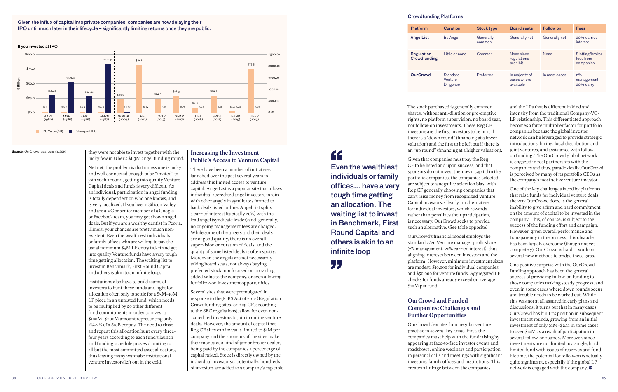## they were not able to invest together with the lucky few in Uber's \$1.3M angel funding round.

Net net, the problem is that unless one is lucky and well connected enough to be "invited" to join such a round, getting into quality Venture Capital deals and funds is very difficult. As an individual, participation in angel funding is totally dependent on who one knows, and is very localized. If you live in Silicon Valley and are a VC or senior member of a Google or Facebook team, you may get shown angel deals. But if you are a wealthy dentist in Peoria, Illinois, your chances are pretty much nonexistent. Even the wealthiest individuals or family offices who are willing to pay the usual minimum \$5M LP entry ticket and get into quality Venture funds have a very tough time getting allocation. The waiting list to invest in Benchmark, First Round Capital and others is akin to an infinite loop.

Institutions also have to build teams of investors to hunt these funds and fight for allocation often only to settle for a \$5M–10M LP piece in an untested fund, which needs to be multiplied by 20 other different fund commitments in order to invest a \$100M–\$200M amount representing only 1%–2% of a \$10B corpus. The need to rinse and repeat this allocation hunt every threefour years according to each fund's launch and funding schedule proves daunting to all but the most committed asset allocators, thus leaving many wannabe institutional venture investors left out in the cold.

# Increasing the Investment Public's Access to Venture Capital

There have been a number of initiatives launched over the past several years to address this limited access to venture capital. AngelList is a popular site that allows individual accredited angel investors to join with other angels in syndicates formed to back deals listed online. AngelList splits a carried interest (typically 20%) with the lead angel (syndicate leader) and, generally, no ongoing management fees are charged. While some of the angels and their deals are of good quality, there is no overall supervision or curation of deals, and the quality of some listed deals is often spotty. Moreover, the angels are not necessarily taking board seats, nor always buying preferred stock, nor focused on providing added value to the company, or even allowing for follow-on investment opportunities.

Several sites that were promulgated in response to the JOBS Act of 2012 (Regulation Crowdfunding sites, or Reg CF, according to the SEC regulations), allow for even nonaccredited investors to join in online venture deals. However, the amount of capital that Reg CF sites can invest is limited to \$1M per company and the sponsors of the sites make their money as a kind of junior broker dealer, being paid by the companies a percentage of capital raised. Stock is directly owned by the individual investor so, potentially, hundreds of investors are added to a company's cap table.



One positive surprise with the OurCrowd funding approach has been the general success of providing follow-on funding to those companies making steady progress, and even in some cases where down rounds occur and trouble needs to be worked out. While this was not at all assured in early plans and discussions, it turns out that in many cases OurCrowd has built its position in subsequent investment rounds, growing from an initial investment of only \$1M–\$2M in some cases to over \$10M as a result of participation in several follow-on rounds. Moreover, since investments are not limited to a single, hard limited fund with issues of reserves and fund lifetime, the potential for follow-on is actually quite significant, especially if the global LP network is engaged with the company.  $\bullet$ 

If you invested at IPO

Given the influx of capital into private companies, companies are now delaying their IPO until much later in their lifecycle – significantly limiting returns once they are public.

### Source: OurCrowd, as at June 13, 2019

# " Even the wealthiest individuals or family offices... have a very tough time getting an allocation. The waiting list to invest in Benchmark, First Round Capital and others is akin to an infinite loop

"

 The stock purchased is generally common shares, without anti-dilution or pre-emptive rights, no platform supervision, no board seat, nor follow-on investments. These Reg CF investors are the first investors to be hurt if there is a "down round" (financing at a lower valuation) and the first to be left out if there is an "up round" (financing at a higher valuation).

Given that companies must pay the Reg CF to be listed and upon success, and that sponsors do not invest their own capital in the portfolio companies, the companies selected are subject to a negative selection bias, with Reg CF generally choosing companies that can't raise money from recognized Venture Capital investors. Clearly, an alternative for individual investors, which rewards rather than penalizes their participation, is necessary. OurCrowd seeks to provide such an alternative. (See table opposite)

OurCrowd's financial model employs the standard 2/20 Venture manager profit share (2% management, 20% carried interest), thus aligning interests between investors and the platform. However, minimum investment sizes are modest: \$10,000 for individual companies and \$50,000 for venture funds. Aggregated LP checks for funds already exceed on average \$10M per fund.

# OurCrowd and Funded Companies: Challenges and Further Opportunities

OurCrowd deviates from regular venture practice in several key areas. First, the companies must help with the fundraising by appearing at face-to-face investor events and roadshows, online webinars and participation in personal calls and meetings with significant investors, family offices and institutions. This creates a linkage between the companies

and the LPs that is different in kind and intensity from the traditional Company-VC-LP relationship. This differentiated approach becomes a force multiplier factor for portfolio companies because the global investor network can be leveraged to provide strategic introductions, hiring, local distribution and joint ventures, and assistance with followon funding. The OurCrowd global network is engaged in real partnership with the companies and thus, paradoxically, OurCrowd is perceived by many of its portfolio CEOs as the company's most active venture investor.

One of the key challenges faced by platforms that raise funds for individual venture deals the way OurCrowd does, is the general inability to give a firm and hard commitment on the amount of capital to be invested in the company. This, of course, is subject to the success of the funding effort and campaign. However, given overall performance and transparency in the process, this obstacle has been largely overcome (though not yet completely). OurCrowd is hard at work on several new methods to bridge these gaps.

| <b>Platform</b>                   | <b>Curation</b>                         | <b>Stock type</b>   | <b>Board seats</b>                         | <b>Follow on</b> | <b>Fees</b>                               |
|-----------------------------------|-----------------------------------------|---------------------|--------------------------------------------|------------------|-------------------------------------------|
| AngelList                         | By Angel                                | Generally<br>common | Generally not                              | Generally not    | 20% carried<br>interest                   |
| <b>Regulation</b><br>Crowdfunding | Little or none                          | Common              | None since<br>regulations<br>prohibit      | <b>None</b>      | Slotting/broker<br>fees from<br>companies |
| <b>OurCrowd</b>                   | Standard<br>Venture<br><b>Diligence</b> | Preferred           | In majority of<br>cases where<br>available | In most cases    | 2%<br>management,<br>20% carry            |

## Crowdfunding Platforms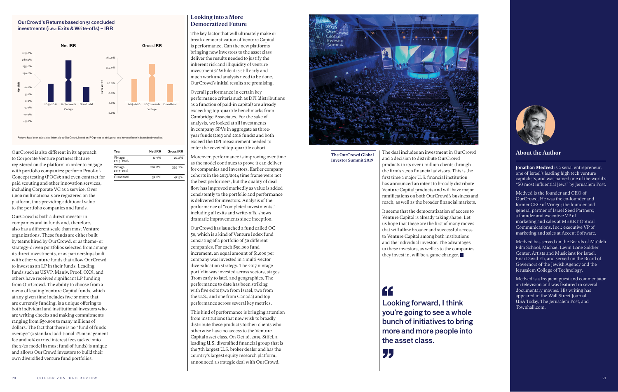OurCrowd is also different in its approach to Corporate Venture partners that are registered on the platform in order to engage with portfolio companies; perform Proof-of-Concept testing (POCs); and even contract for paid scouting and other innovation services, including Corporate VC as a service. Over 1,000 multinationals are registered on the platform, thus providing additional value to the portfolio companies and funds.

OurCrowd is both a direct investor in companies and in funds and, therefore, also has a different scale than most Venture organizations. These funds are either built by teams hired by OurCrowd, or as theme- or strategy-driven portfolios selected from among its direct investments, or as partnerships built with other venture funds that allow OurCrowd to invest as an LP in their funds. Leading funds such as USVP, Maniv, Proof, OXX, and others have received significant LP funding from OurCrowd. The ability to choose from a menu of leading Venture Capital funds, which at any given time includes five or more that are currently funding, is a unique offering to both individual and institutional investors who are writing checks and making commitments ranging from \$50,000 to many millions of dollars. The fact that there is no "fund of funds overage" (a standard additional 1% management fee and 10% carried interest fees tacked onto the  $2/20$  model in most fund of funds) is unique and allows OurCrowd investors to build their own diversified venture fund portfolios.

## Looking into a More Democratized Future

The key factor that will ultimately make or break democratization of Venture Capital is performance. Can the new platforms bringing new investors to the asset class deliver the results needed to justify the inherent risk and illiquidity of venture investments? While it is still early and much work and analysis need to be done, OurCrowd's initial results are promising.

Overall performance in certain key performance criteria such as DPI (distributions as a function of paid-in capital) are already exceeding top-quartile benchmarks from Cambridge Associates. For the sake of analysis, we looked at all investments in company SPVs in aggregate as threeyear funds (2013 and 2016 funds) and both exceed the DPI measurement needed to enter the coveted top-quartile cohort.

Moreover, performance is improving over time as the model continues to prove it can deliver for companies and investors. Earlier company cohorts in the 2013/2014 time frame were not the best performers, but the quality of deal flow has improved markedly as value is added consistently to the portfolio and performance is delivered for investors. Analysis of the performance of "completed investments," including all exits and write-offs, shows dramatic improvements since inception.

OurCrowd has launched a fund called OC 50, which is a kind of Venture Index fund consisting of a portfolio of 50 different companies. For each \$50,000 fund increment, an equal amount of \$1,000 per company was invested in a multi-vector diversification strategy. The 2017 vintage portfolio was invested across sectors, stages (from early to late), and geographies. The performance to date has been striking with five exits (two from Israel, two from the U.S., and one from Canada) and top performance across several key metrics.

This kind of performance is bringing attention from institutions that now wish to broadly distribute these products to their clients who otherwise have no access to the Venture Capital asset class. On Oct 16, 2019, Stifel, a leading U.S. diversified financial group that is the 7th largest U.S. broker dealer and has the country's largest equity research platform, announced a strategic deal with OurCrowd.





## OurCrowd's Returns based on 51 concluded investments (i.e.: Exits & Write-offs) – IRR

| Year                  | Net IRR | <b>Gross IRR</b> |
|-----------------------|---------|------------------|
| Vintage:<br>2015-2016 | 12.9%   | 22.2%            |
| Vintage:<br>2017-2018 | 282.8%  | 355.2%           |
| Grand total           | 32.6%   |                  |

Returns have been calculated internally by OurCrowd, based on IPO prices as at 6.30.19, and have not been independently audited.

# About the Author

Jonathan Medved is a serial entrepreneur, one of Israel's leading high tech venture capitalists, and was named one of the world's "50 most influential Jews" by Jerusalem Post.

Medved is the founder and CEO of OurCrowd. He was the co-founder and former CEO of Vringo; the founder and general partner of Israel Seed Partners; a founder and executive VP of marketing and sales at MERET Optical Communications, Inc.; executive VP of marketing and sales at Accent Software.

Medved has served on the Boards of Ma'aleh Film School, Michael Levin Lone Soldier Center, Artists and Musicians for Israel, Bnai David Eli, and served on the Board of Governors of the Jewish Agency and the Jerusalem College of Technology.

Medved is a frequent guest and commentator on television and was featured in several documentary movies. His writing has appeared in the Wall Street Journal, USA Today, The Jerusalem Post, and Townhall.com.

The deal includes an investment in OurCrowd and a decision to distribute OurCrowd products to its over 1 million clients through the firm's 2,200 financial advisors. This is the first time a major U.S. financial institution has announced an intent to broadly distribute Venture Capital products and will have major ramifications on both OurCrowd's business and reach, as well as the broader financial markets. It seems that the democratization of access to

Venture Capital is already taking shape. Let us hope that these are the first of many moves that will allow broader and successful access to Venture Capital among both institutions and the individual investor. The advantages to these investors, as well as to the companies they invest in, will be a game changer.

# "

Looking forward, I think you're going to see a whole bunch of initiatives to bring more and more people into the asset class.

55

The OurCrowd Global Investor Summit 2019